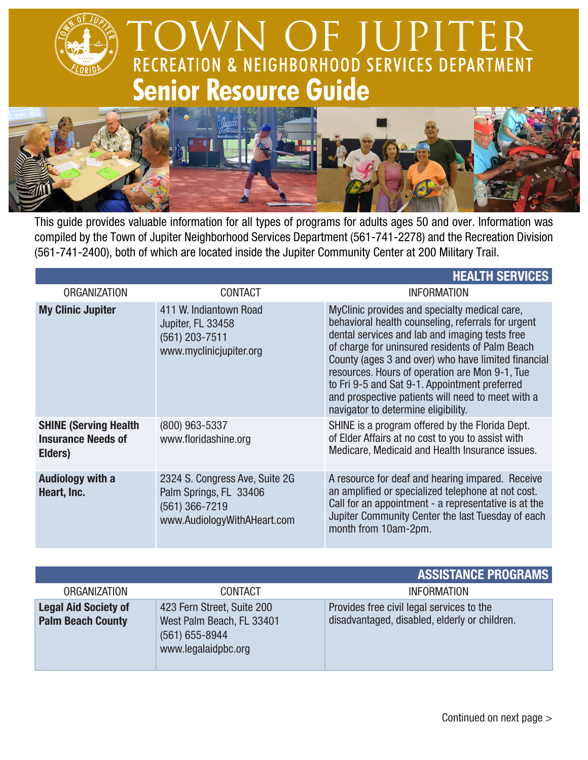## **TOWN OF JUPITER**<br>RECREATION & NEIGHBORHOOD SERVICES DEPARTMENT **Senior Resource Guide**



This guide provides valuable information for all types of programs for adults ages 50 and over. Information was compiled by the Town of Jupiter Neighborhood Services Department (561-741-2278) and the Recreation Division (561-741-2400), both of which are located inside the Jupiter Community Center at 200 Military Trail.

|                                                                       |                                                                                                           | <b>HEALTH SERVICES</b>                                                                                                                                                                                                                                                                                                                                                                                                                                         |
|-----------------------------------------------------------------------|-----------------------------------------------------------------------------------------------------------|----------------------------------------------------------------------------------------------------------------------------------------------------------------------------------------------------------------------------------------------------------------------------------------------------------------------------------------------------------------------------------------------------------------------------------------------------------------|
| <b>ORGANIZATION</b>                                                   | <b>CONTACT</b>                                                                                            | <b>INFORMATION</b>                                                                                                                                                                                                                                                                                                                                                                                                                                             |
| <b>My Clinic Jupiter</b>                                              | 411 W. Indiantown Road<br>Jupiter, FL 33458<br>(561) 203-7511<br>www.myclinicjupiter.org                  | MyClinic provides and specialty medical care,<br>behavioral health counseling, referrals for urgent<br>dental services and lab and imaging tests free<br>of charge for uninsured residents of Palm Beach<br>County (ages 3 and over) who have limited financial<br>resources. Hours of operation are Mon 9-1, Tue<br>to Fri 9-5 and Sat 9-1. Appointment preferred<br>and prospective patients will need to meet with a<br>navigator to determine eligibility. |
| <b>SHINE (Serving Health)</b><br><b>Insurance Needs of</b><br>Elders) | (800) 963-5337<br>www.floridashine.org                                                                    | SHINE is a program offered by the Florida Dept.<br>of Elder Affairs at no cost to you to assist with<br>Medicare, Medicaid and Health Insurance issues.                                                                                                                                                                                                                                                                                                        |
| <b>Audiology with a</b><br>Heart, Inc.                                | 2324 S. Congress Ave, Suite 2G<br>Palm Springs, FL 33406<br>(561) 366-7219<br>www.AudiologyWithAHeart.com | A resource for deaf and hearing impared. Receive<br>an amplified or specialized telephone at not cost.<br>Call for an appointment - a representative is at the<br>Jupiter Community Center the last Tuesday of each<br>month from 10am-2pm.                                                                                                                                                                                                                    |

|                                                         |                                                                                                      | <b>ASSISTANCE PROGRAMS</b>                                                                 |
|---------------------------------------------------------|------------------------------------------------------------------------------------------------------|--------------------------------------------------------------------------------------------|
| <b>ORGANIZATION</b>                                     | <b>CONTACT</b>                                                                                       | <b>INFORMATION</b>                                                                         |
| <b>Legal Aid Society of</b><br><b>Palm Beach County</b> | 423 Fern Street, Suite 200<br>West Palm Beach, FL 33401<br>$(561) 655 - 8944$<br>www.legalaidpbc.org | Provides free civil legal services to the<br>disadvantaged, disabled, elderly or children. |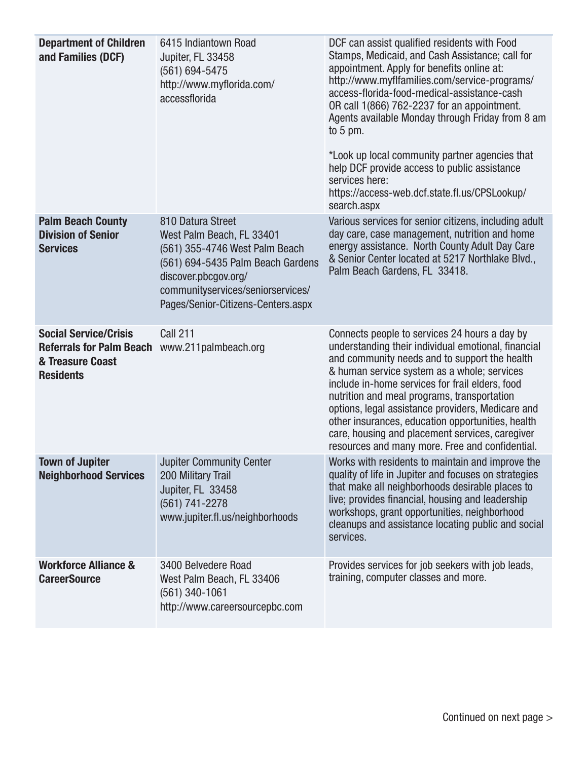| <b>Department of Children</b><br>and Families (DCF)                                                                   | 6415 Indiantown Road<br>Jupiter, FL 33458<br>$(561) 694 - 5475$<br>http://www.myflorida.com/<br>accessflorida                                                                                                            | DCF can assist qualified residents with Food<br>Stamps, Medicaid, and Cash Assistance; call for<br>appointment. Apply for benefits online at:<br>http://www.myflfamilies.com/service-programs/<br>access-florida-food-medical-assistance-cash<br>OR call 1(866) 762-2237 for an appointment.<br>Agents available Monday through Friday from 8 am<br>to $5 \text{ pm}$ .<br>*Look up local community partner agencies that<br>help DCF provide access to public assistance<br>services here:<br>https://access-web.dcf.state.fl.us/CPSLookup/<br>search.aspx |
|-----------------------------------------------------------------------------------------------------------------------|--------------------------------------------------------------------------------------------------------------------------------------------------------------------------------------------------------------------------|-------------------------------------------------------------------------------------------------------------------------------------------------------------------------------------------------------------------------------------------------------------------------------------------------------------------------------------------------------------------------------------------------------------------------------------------------------------------------------------------------------------------------------------------------------------|
| <b>Palm Beach County</b><br><b>Division of Senior</b><br><b>Services</b>                                              | 810 Datura Street<br>West Palm Beach, FL 33401<br>(561) 355-4746 West Palm Beach<br>(561) 694-5435 Palm Beach Gardens<br>discover.pbcgov.org/<br>communityservices/seniorservices/<br>Pages/Senior-Citizens-Centers.aspx | Various services for senior citizens, including adult<br>day care, case management, nutrition and home<br>energy assistance. North County Adult Day Care<br>& Senior Center located at 5217 Northlake Blvd.,<br>Palm Beach Gardens, FL 33418.                                                                                                                                                                                                                                                                                                               |
| <b>Social Service/Crisis</b><br>Referrals for Palm Beach www.211palmbeach.org<br>& Treasure Coast<br><b>Residents</b> | <b>Call 211</b>                                                                                                                                                                                                          | Connects people to services 24 hours a day by<br>understanding their individual emotional, financial<br>and community needs and to support the health<br>& human service system as a whole; services<br>include in-home services for frail elders, food<br>nutrition and meal programs, transportation<br>options, legal assistance providers, Medicare and<br>other insurances, education opportunities, health<br>care, housing and placement services, caregiver<br>resources and many more. Free and confidential.                                      |
| <b>Town of Jupiter</b><br><b>Neighborhood Services</b>                                                                | <b>Jupiter Community Center</b><br>200 Military Trail<br>Jupiter, FL 33458<br>(561) 741-2278<br>www.jupiter.fl.us/neighborhoods                                                                                          | Works with residents to maintain and improve the<br>quality of life in Jupiter and focuses on strategies<br>that make all neighborhoods desirable places to<br>live; provides financial, housing and leadership<br>workshops, grant opportunities, neighborhood<br>cleanups and assistance locating public and social<br>services.                                                                                                                                                                                                                          |
| <b>Workforce Alliance &amp;</b><br><b>CareerSource</b>                                                                | 3400 Belvedere Road<br>West Palm Beach, FL 33406<br>$(561)$ 340-1061<br>http://www.careersourcepbc.com                                                                                                                   | Provides services for job seekers with job leads,<br>training, computer classes and more.                                                                                                                                                                                                                                                                                                                                                                                                                                                                   |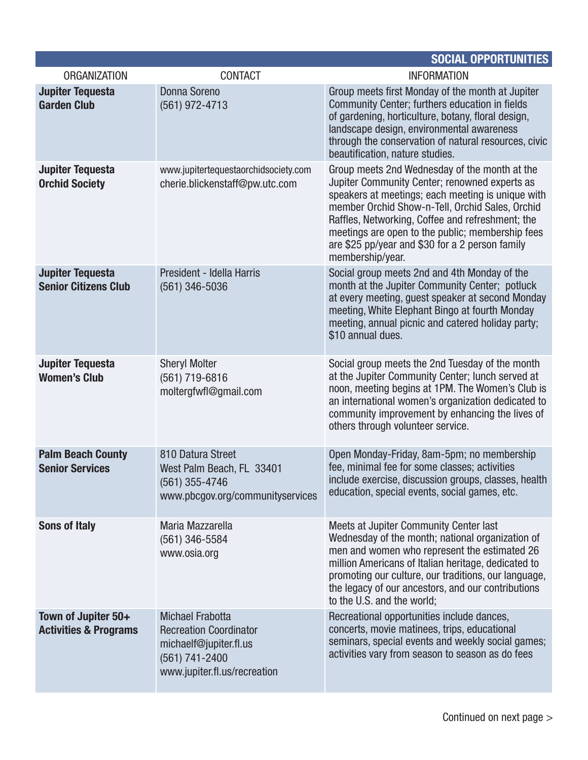|                                                         |                                                                                                                                      | <b>SOCIAL OPPORTUNITIES</b>                                                                                                                                                                                                                                                                                                                                                           |
|---------------------------------------------------------|--------------------------------------------------------------------------------------------------------------------------------------|---------------------------------------------------------------------------------------------------------------------------------------------------------------------------------------------------------------------------------------------------------------------------------------------------------------------------------------------------------------------------------------|
| <b>ORGANIZATION</b>                                     | <b>CONTACT</b>                                                                                                                       | <b>INFORMATION</b>                                                                                                                                                                                                                                                                                                                                                                    |
| <b>Jupiter Tequesta</b><br><b>Garden Club</b>           | <b>Donna Soreno</b><br>(561) 972-4713                                                                                                | Group meets first Monday of the month at Jupiter<br>Community Center; furthers education in fields<br>of gardening, horticulture, botany, floral design,<br>landscape design, environmental awareness<br>through the conservation of natural resources, civic<br>beautification, nature studies.                                                                                      |
| <b>Jupiter Tequesta</b><br><b>Orchid Society</b>        | www.jupitertequestaorchidsociety.com<br>cherie.blickenstaff@pw.utc.com                                                               | Group meets 2nd Wednesday of the month at the<br>Jupiter Community Center; renowned experts as<br>speakers at meetings; each meeting is unique with<br>member Orchid Show-n-Tell, Orchid Sales, Orchid<br>Raffles, Networking, Coffee and refreshment; the<br>meetings are open to the public; membership fees<br>are \$25 pp/year and \$30 for a 2 person family<br>membership/year. |
| <b>Jupiter Tequesta</b><br><b>Senior Citizens Club</b>  | President - Idella Harris<br>(561) 346-5036                                                                                          | Social group meets 2nd and 4th Monday of the<br>month at the Jupiter Community Center; potluck<br>at every meeting, quest speaker at second Monday<br>meeting, White Elephant Bingo at fourth Monday<br>meeting, annual picnic and catered holiday party;<br>\$10 annual dues.                                                                                                        |
| <b>Jupiter Tequesta</b><br><b>Women's Club</b>          | <b>Sheryl Molter</b><br>(561) 719-6816<br>moltergfwfl@gmail.com                                                                      | Social group meets the 2nd Tuesday of the month<br>at the Jupiter Community Center; lunch served at<br>noon, meeting begins at 1PM. The Women's Club is<br>an international women's organization dedicated to<br>community improvement by enhancing the lives of<br>others through volunteer service.                                                                                 |
| <b>Palm Beach County</b><br><b>Senior Services</b>      | 810 Datura Street<br>West Palm Beach, FL 33401<br>$(561)$ 355-4746<br>www.pbcgov.org/communityservices                               | Open Monday-Friday, 8am-5pm; no membership<br>fee, minimal fee for some classes; activities<br>include exercise, discussion groups, classes, health<br>education, special events, social games, etc.                                                                                                                                                                                  |
| <b>Sons of Italy</b>                                    | Maria Mazzarella<br>(561) 346-5584<br>www.osia.org                                                                                   | Meets at Jupiter Community Center last<br>Wednesday of the month; national organization of<br>men and women who represent the estimated 26<br>million Americans of Italian heritage, dedicated to<br>promoting our culture, our traditions, our language,<br>the legacy of our ancestors, and our contributions<br>to the U.S. and the world;                                         |
| Town of Jupiter 50+<br><b>Activities &amp; Programs</b> | <b>Michael Frabotta</b><br><b>Recreation Coordinator</b><br>michaelf@jupiter.fl.us<br>(561) 741-2400<br>www.jupiter.fl.us/recreation | Recreational opportunities include dances,<br>concerts, movie matinees, trips, educational<br>seminars, special events and weekly social games;<br>activities vary from season to season as do fees                                                                                                                                                                                   |